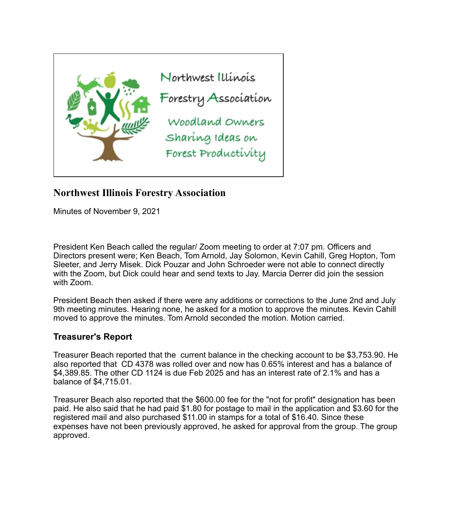

# **Northwest Illinois Forestry Association**

Minutes of November 9, 2021

President Ken Beach called the regular/ Zoom meeting to order at 7:07 pm. Officers and Directors present were; Ken Beach, Tom Arnold, Jay Solomon, Kevin Cahill, Greg Hopton, Tom Sleeter, and Jerry Misek. Dick Pouzar and John Schroeder were not able to connect directly with the Zoom, but Dick could hear and send texts to Jay. Marcia Derrer did join the session with Zoom.

President Beach then asked if there were any additions or corrections to the June 2nd and July 9th meeting minutes. Hearing none, he asked for a motion to approve the minutes. Kevin Cahill moved to approve the minutes. Tom Arnold seconded the motion. Motion carried.

## **Treasurer's Report**

Treasurer Beach reported that the current balance in the checking account to be \$3,753.90. He also reported that CD 4378 was rolled over and now has 0.65% interest and has a balance of \$4,389.85. The other CD 1124 is due Feb 2025 and has an interest rate of 2.1% and has a balance of \$4,715.01.

Treasurer Beach also reported that the \$600.00 fee for the "not for profit" designation has been paid. He also said that he had paid \$1.80 for postage to mail in the application and \$3.60 for the registered mail and also purchased \$11.00 in stamps for a total of \$16.40. Since these expenses have not been previously approved, he asked for approval from the group. The group approved.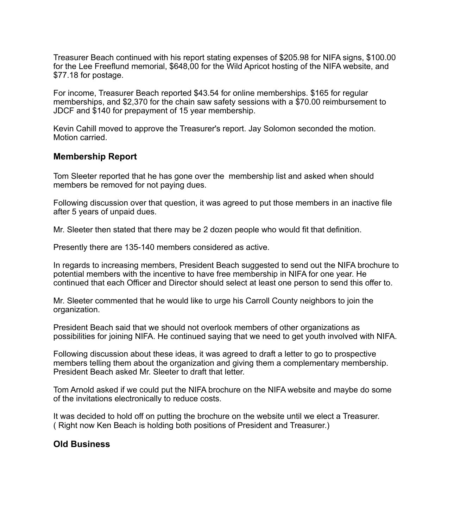Treasurer Beach continued with his report stating expenses of \$205.98 for NIFA signs, \$100.00 for the Lee Freeflund memorial, \$648,00 for the Wild Apricot hosting of the NIFA website, and \$77.18 for postage.

For income, Treasurer Beach reported \$43.54 for online memberships. \$165 for regular memberships, and \$2,370 for the chain saw safety sessions with a \$70.00 reimbursement to JDCF and \$140 for prepayment of 15 year membership.

Kevin Cahill moved to approve the Treasurer's report. Jay Solomon seconded the motion. Motion carried.

## **Membership Report**

Tom Sleeter reported that he has gone over the membership list and asked when should members be removed for not paying dues.

Following discussion over that question, it was agreed to put those members in an inactive file after 5 years of unpaid dues.

Mr. Sleeter then stated that there may be 2 dozen people who would fit that definition.

Presently there are 135-140 members considered as active.

In regards to increasing members, President Beach suggested to send out the NIFA brochure to potential members with the incentive to have free membership in NIFA for one year. He continued that each Officer and Director should select at least one person to send this offer to.

Mr. Sleeter commented that he would like to urge his Carroll County neighbors to join the organization.

President Beach said that we should not overlook members of other organizations as possibilities for joining NIFA. He continued saying that we need to get youth involved with NIFA.

Following discussion about these ideas, it was agreed to draft a letter to go to prospective members telling them about the organization and giving them a complementary membership. President Beach asked Mr. Sleeter to draft that letter.

Tom Arnold asked if we could put the NIFA brochure on the NIFA website and maybe do some of the invitations electronically to reduce costs.

It was decided to hold off on putting the brochure on the website until we elect a Treasurer. ( Right now Ken Beach is holding both positions of President and Treasurer.)

## **Old Business**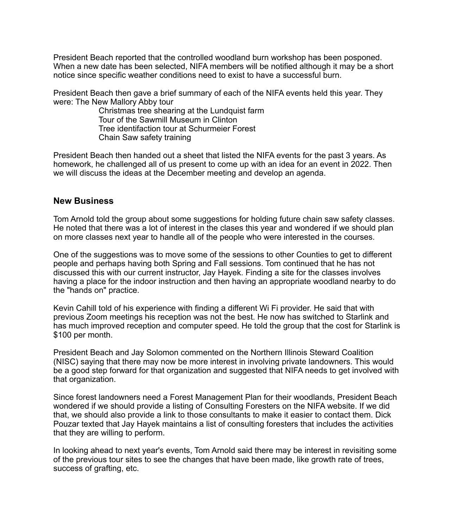President Beach reported that the controlled woodland burn workshop has been posponed. When a new date has been selected, NIFA members will be notified although it may be a short notice since specific weather conditions need to exist to have a successful burn.

President Beach then gave a brief summary of each of the NIFA events held this year. They were: The New Mallory Abby tour

 Christmas tree shearing at the Lundquist farm Tour of the Sawmill Museum in Clinton Tree identifaction tour at Schurmeier Forest Chain Saw safety training

President Beach then handed out a sheet that listed the NIFA events for the past 3 years. As homework, he challenged all of us present to come up with an idea for an event in 2022. Then we will discuss the ideas at the December meeting and develop an agenda.

### **New Business**

Tom Arnold told the group about some suggestions for holding future chain saw safety classes. He noted that there was a lot of interest in the clases this year and wondered if we should plan on more classes next year to handle all of the people who were interested in the courses.

One of the suggestions was to move some of the sessions to other Counties to get to different people and perhaps having both Spring and Fall sessions. Tom continued that he has not discussed this with our current instructor, Jay Hayek. Finding a site for the classes involves having a place for the indoor instruction and then having an appropriate woodland nearby to do the "hands on" practice.

Kevin Cahill told of his experience with finding a different Wi Fi provider. He said that with previous Zoom meetings his reception was not the best. He now has switched to Starlink and has much improved reception and computer speed. He told the group that the cost for Starlink is \$100 per month.

President Beach and Jay Solomon commented on the Northern Illinois Steward Coalition (NISC) saying that there may now be more interest in involving private landowners. This would be a good step forward for that organization and suggested that NIFA needs to get involved with that organization.

Since forest landowners need a Forest Management Plan for their woodlands, President Beach wondered if we should provide a listing of Consulting Foresters on the NIFA website. If we did that, we should also provide a link to those consultants to make it easier to contact them. Dick Pouzar texted that Jay Hayek maintains a list of consulting foresters that includes the activities that they are willing to perform.

In looking ahead to next year's events, Tom Arnold said there may be interest in revisiting some of the previous tour sites to see the changes that have been made, like growth rate of trees, success of grafting, etc.